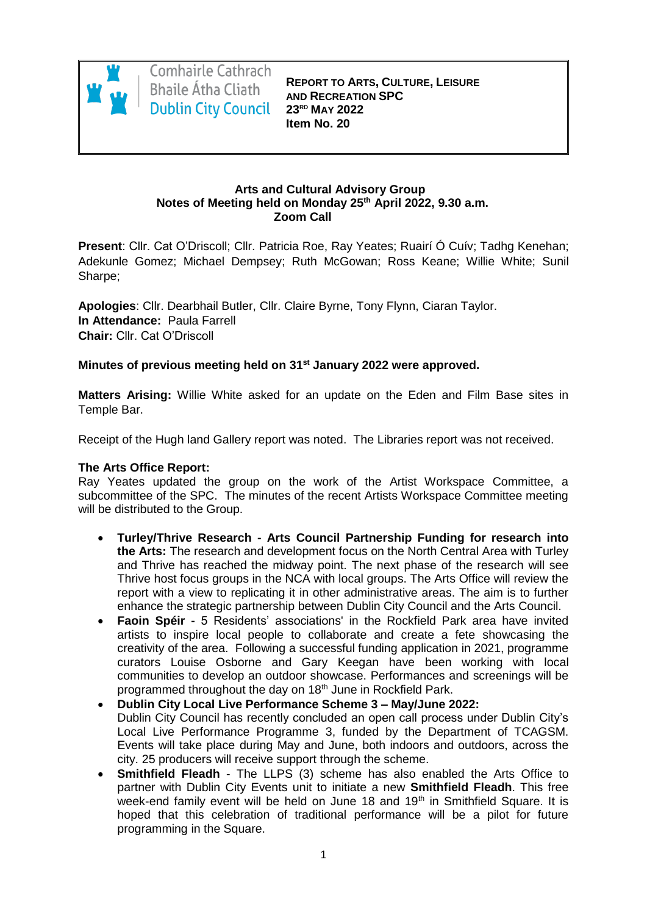

Comhairle Cathrach Bhaile Átha Cliath **Dublin City Council** 

**REPORT TO ARTS, CULTURE, LEISURE AND RECREATION SPC 23RD MAY 2022 Item No. 20**

#### **Arts and Cultural Advisory Group Notes of Meeting held on Monday 25th April 2022, 9.30 a.m. Zoom Call**

**Present**: Cllr. Cat O'Driscoll; Cllr. Patricia Roe, Ray Yeates; Ruairí Ó Cuív; Tadhg Kenehan; Adekunle Gomez; Michael Dempsey; Ruth McGowan; Ross Keane; Willie White; Sunil Sharpe;

**Apologies**: Cllr. Dearbhail Butler, Cllr. Claire Byrne, Tony Flynn, Ciaran Taylor. **In Attendance:** Paula Farrell **Chair:** Cllr. Cat O'Driscoll

# **Minutes of previous meeting held on 31st January 2022 were approved.**

**Matters Arising:** Willie White asked for an update on the Eden and Film Base sites in Temple Bar.

Receipt of the Hugh land Gallery report was noted. The Libraries report was not received.

# **The Arts Office Report:**

Ray Yeates updated the group on the work of the Artist Workspace Committee, a subcommittee of the SPC. The minutes of the recent Artists Workspace Committee meeting will be distributed to the Group.

- **Turley/Thrive Research - Arts Council Partnership Funding for research into the Arts:** The research and development focus on the North Central Area with Turley and Thrive has reached the midway point. The next phase of the research will see Thrive host focus groups in the NCA with local groups. The Arts Office will review the report with a view to replicating it in other administrative areas. The aim is to further enhance the strategic partnership between Dublin City Council and the Arts Council.
- **Faoin Spéir -** 5 Residents' associations' in the Rockfield Park area have invited artists to inspire local people to collaborate and create a fete showcasing the creativity of the area. Following a successful funding application in 2021, programme curators Louise Osborne and Gary Keegan have been working with local communities to develop an outdoor showcase. Performances and screenings will be programmed throughout the day on 18<sup>th</sup> June in Rockfield Park.
- **Dublin City Local Live Performance Scheme 3 – May/June 2022:** Dublin City Council has recently concluded an open call process under Dublin City's Local Live Performance Programme 3, funded by the Department of TCAGSM. Events will take place during May and June, both indoors and outdoors, across the city. 25 producers will receive support through the scheme.
- **Smithfield Fleadh** The LLPS (3) scheme has also enabled the Arts Office to partner with Dublin City Events unit to initiate a new **Smithfield Fleadh**. This free week-end family event will be held on June 18 and 19<sup>th</sup> in Smithfield Square. It is hoped that this celebration of traditional performance will be a pilot for future programming in the Square.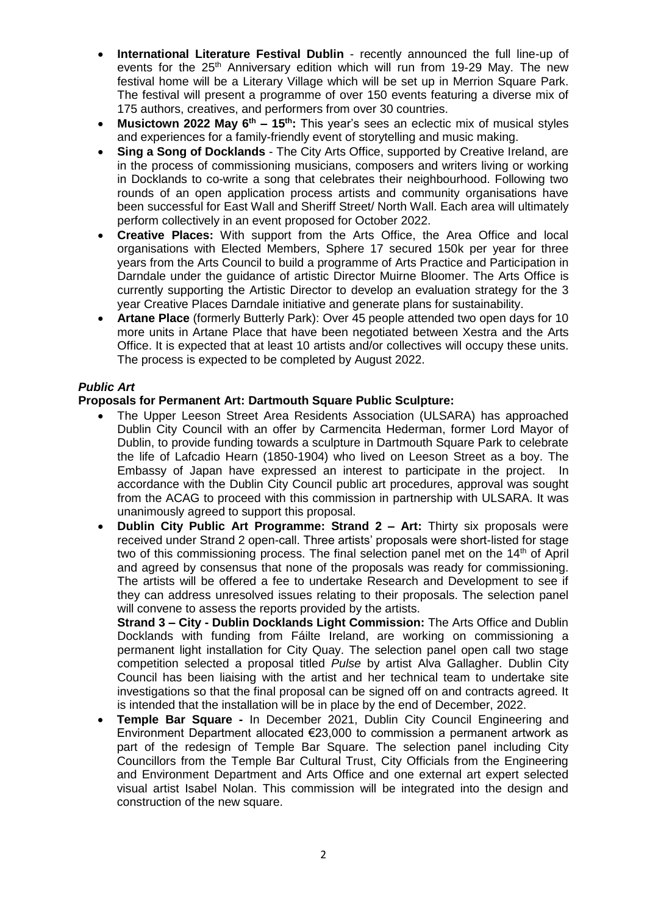- **International Literature Festival Dublin** recently announced the full line-up of events for the  $25<sup>th</sup>$  Anniversary edition which will run from 19-29 May. The new festival home will be a Literary Village which will be set up in Merrion Square Park. The festival will present a programme of over 150 events featuring a diverse mix of 175 authors, creatives, and performers from over 30 countries.
- **Musictown 2022 May 6th – 15th:** This year's sees an eclectic mix of musical styles and experiences for a family-friendly event of storytelling and music making.
- **Sing a Song of Docklands** The City Arts Office, supported by Creative Ireland, are in the process of commissioning musicians, composers and writers living or working in Docklands to co-write a song that celebrates their neighbourhood. Following two rounds of an open application process artists and community organisations have been successful for East Wall and Sheriff Street/ North Wall. Each area will ultimately perform collectively in an event proposed for October 2022.
- **Creative Places:** With support from the Arts Office, the Area Office and local organisations with Elected Members, Sphere 17 secured 150k per year for three years from the Arts Council to build a programme of Arts Practice and Participation in Darndale under the guidance of artistic Director Muirne Bloomer. The Arts Office is currently supporting the Artistic Director to develop an evaluation strategy for the 3 year Creative Places Darndale initiative and generate plans for sustainability.
- **Artane Place** (formerly Butterly Park): Over 45 people attended two open days for 10 more units in Artane Place that have been negotiated between Xestra and the Arts Office. It is expected that at least 10 artists and/or collectives will occupy these units. The process is expected to be completed by August 2022.

## *Public Art*

## **Proposals for Permanent Art: Dartmouth Square Public Sculpture:**

- The Upper Leeson Street Area Residents Association (ULSARA) has approached Dublin City Council with an offer by Carmencita Hederman, former Lord Mayor of Dublin, to provide funding towards a sculpture in Dartmouth Square Park to celebrate the life of Lafcadio Hearn (1850-1904) who lived on Leeson Street as a boy. The Embassy of Japan have expressed an interest to participate in the project. In accordance with the Dublin City Council public art procedures, approval was sought from the ACAG to proceed with this commission in partnership with ULSARA. It was unanimously agreed to support this proposal.
- **Dublin City Public Art Programme: Strand 2 – Art:** Thirty six proposals were received under Strand 2 open-call. Three artists' proposals were short-listed for stage two of this commissioning process. The final selection panel met on the 14<sup>th</sup> of April and agreed by consensus that none of the proposals was ready for commissioning. The artists will be offered a fee to undertake Research and Development to see if they can address unresolved issues relating to their proposals. The selection panel will convene to assess the reports provided by the artists.

**Strand 3 – City - Dublin Docklands Light Commission:** The Arts Office and Dublin Docklands with funding from Fáilte Ireland, are working on commissioning a permanent light installation for City Quay. The selection panel open call two stage competition selected a proposal titled *Pulse* by artist Alva Gallagher. Dublin City Council has been liaising with the artist and her technical team to undertake site investigations so that the final proposal can be signed off on and contracts agreed. It is intended that the installation will be in place by the end of December, 2022.

 **Temple Bar Square -** In December 2021, Dublin City Council Engineering and Environment Department allocated €23,000 to commission a permanent artwork as part of the redesign of Temple Bar Square. The selection panel including City Councillors from the Temple Bar Cultural Trust, City Officials from the Engineering and Environment Department and Arts Office and one external art expert selected visual artist Isabel Nolan. This commission will be integrated into the design and construction of the new square.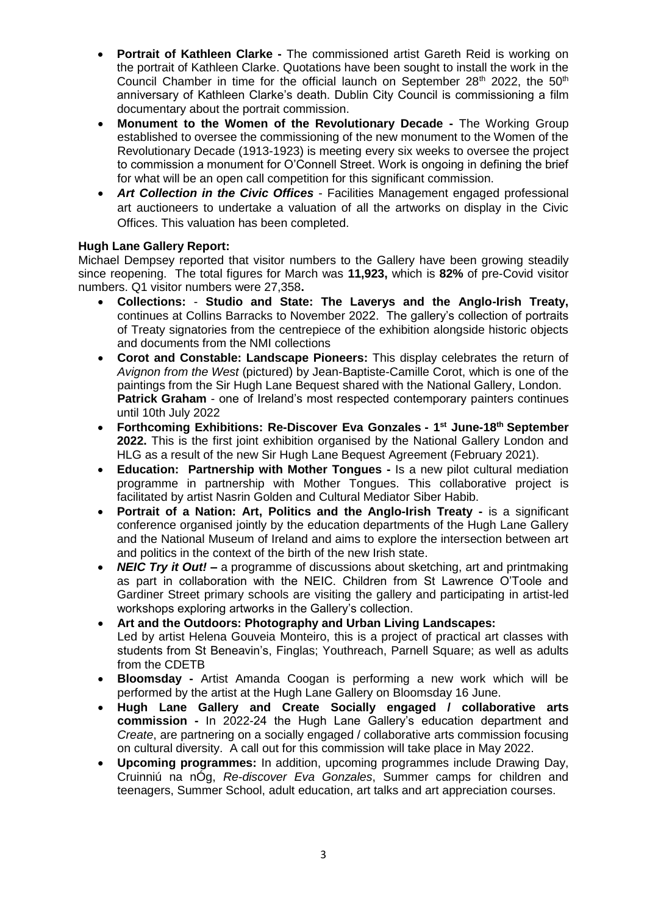- **Portrait of Kathleen Clarke -** The commissioned artist Gareth Reid is working on the portrait of Kathleen Clarke. Quotations have been sought to install the work in the Council Chamber in time for the official launch on September 28<sup>th</sup> 2022, the 50<sup>th</sup> anniversary of Kathleen Clarke's death. Dublin City Council is commissioning a film documentary about the portrait commission.
- **Monument to the Women of the Revolutionary Decade -** The Working Group established to oversee the commissioning of the new monument to the Women of the Revolutionary Decade (1913-1923) is meeting every six weeks to oversee the project to commission a monument for O'Connell Street. Work is ongoing in defining the brief for what will be an open call competition for this significant commission.
- *Art Collection in the Civic Offices* Facilities Management engaged professional art auctioneers to undertake a valuation of all the artworks on display in the Civic Offices. This valuation has been completed.

# **Hugh Lane Gallery Report:**

Michael Dempsey reported that visitor numbers to the Gallery have been growing steadily since reopening. The total figures for March was **11,923,** which is **82%** of pre-Covid visitor numbers. Q1 visitor numbers were 27,358**.**

- **Collections: Studio and State: The Laverys and the Anglo-Irish Treaty,** continues at Collins Barracks to November 2022. The gallery's collection of portraits of Treaty signatories from the centrepiece of the exhibition alongside historic objects and documents from the NMI collections
- **Corot and Constable: Landscape Pioneers:** This display celebrates the return of *Avignon from the West* (pictured) by Jean-Baptiste-Camille Corot, which is one of the paintings from the Sir Hugh Lane Bequest shared with the National Gallery, London. **Patrick Graham** - one of Ireland's most respected contemporary painters continues until 10th July 2022
- **Forthcoming Exhibitions: Re-Discover Eva Gonzales - 1 st June-18th September 2022.** This is the first joint exhibition organised by the National Gallery London and HLG as a result of the new Sir Hugh Lane Bequest Agreement (February 2021).
- **Education: Partnership with Mother Tongues -** Is a new pilot cultural mediation programme in partnership with Mother Tongues. This collaborative project is facilitated by artist Nasrin Golden and Cultural Mediator Siber Habib.
- **Portrait of a Nation: Art, Politics and the Anglo-Irish Treaty -** is a significant conference organised jointly by the education departments of the Hugh Lane Gallery and the National Museum of Ireland and aims to explore the intersection between art and politics in the context of the birth of the new Irish state.
- *NEIC Try it Out!* **–** a programme of discussions about sketching, art and printmaking as part in collaboration with the NEIC. Children from St Lawrence O'Toole and Gardiner Street primary schools are visiting the gallery and participating in artist-led workshops exploring artworks in the Gallery's collection.
- **Art and the Outdoors: Photography and Urban Living Landscapes:** Led by artist Helena Gouveia Monteiro, this is a project of practical art classes with students from St Beneavin's, Finglas; Youthreach, Parnell Square; as well as adults from the CDETB
- **Bloomsday -** Artist Amanda Coogan is performing a new work which will be performed by the artist at the Hugh Lane Gallery on Bloomsday 16 June.
- **Hugh Lane Gallery and Create Socially engaged / collaborative arts commission -** In 2022-24 the Hugh Lane Gallery's education department and *Create*, are partnering on a socially engaged / collaborative arts commission focusing on cultural diversity. A call out for this commission will take place in May 2022.
- **Upcoming programmes:** In addition, upcoming programmes include Drawing Day, Cruinniú na nÓg, *Re-discover Eva Gonzales*, Summer camps for children and teenagers, Summer School, adult education, art talks and art appreciation courses.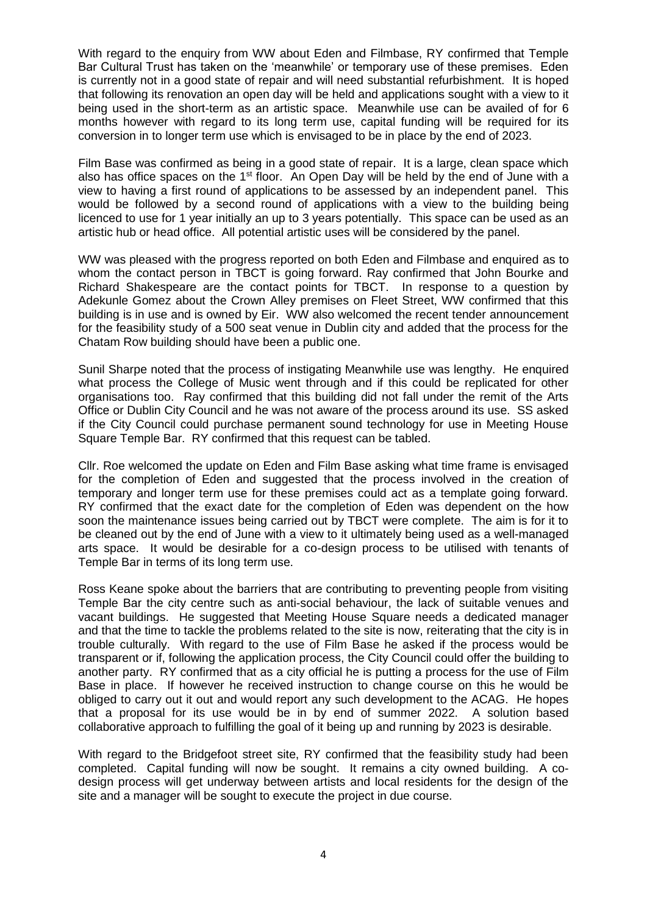With regard to the enquiry from WW about Eden and Filmbase, RY confirmed that Temple Bar Cultural Trust has taken on the 'meanwhile' or temporary use of these premises. Eden is currently not in a good state of repair and will need substantial refurbishment. It is hoped that following its renovation an open day will be held and applications sought with a view to it being used in the short-term as an artistic space. Meanwhile use can be availed of for 6 months however with regard to its long term use, capital funding will be required for its conversion in to longer term use which is envisaged to be in place by the end of 2023.

Film Base was confirmed as being in a good state of repair. It is a large, clean space which also has office spaces on the 1<sup>st</sup> floor. An Open Day will be held by the end of June with a view to having a first round of applications to be assessed by an independent panel. This would be followed by a second round of applications with a view to the building being licenced to use for 1 year initially an up to 3 years potentially. This space can be used as an artistic hub or head office. All potential artistic uses will be considered by the panel.

WW was pleased with the progress reported on both Eden and Filmbase and enquired as to whom the contact person in TBCT is going forward. Ray confirmed that John Bourke and Richard Shakespeare are the contact points for TBCT. In response to a question by Adekunle Gomez about the Crown Alley premises on Fleet Street, WW confirmed that this building is in use and is owned by Eir. WW also welcomed the recent tender announcement for the feasibility study of a 500 seat venue in Dublin city and added that the process for the Chatam Row building should have been a public one.

Sunil Sharpe noted that the process of instigating Meanwhile use was lengthy. He enquired what process the College of Music went through and if this could be replicated for other organisations too. Ray confirmed that this building did not fall under the remit of the Arts Office or Dublin City Council and he was not aware of the process around its use. SS asked if the City Council could purchase permanent sound technology for use in Meeting House Square Temple Bar. RY confirmed that this request can be tabled.

Cllr. Roe welcomed the update on Eden and Film Base asking what time frame is envisaged for the completion of Eden and suggested that the process involved in the creation of temporary and longer term use for these premises could act as a template going forward. RY confirmed that the exact date for the completion of Eden was dependent on the how soon the maintenance issues being carried out by TBCT were complete. The aim is for it to be cleaned out by the end of June with a view to it ultimately being used as a well-managed arts space. It would be desirable for a co-design process to be utilised with tenants of Temple Bar in terms of its long term use.

Ross Keane spoke about the barriers that are contributing to preventing people from visiting Temple Bar the city centre such as anti-social behaviour, the lack of suitable venues and vacant buildings. He suggested that Meeting House Square needs a dedicated manager and that the time to tackle the problems related to the site is now, reiterating that the city is in trouble culturally. With regard to the use of Film Base he asked if the process would be transparent or if, following the application process, the City Council could offer the building to another party. RY confirmed that as a city official he is putting a process for the use of Film Base in place. If however he received instruction to change course on this he would be obliged to carry out it out and would report any such development to the ACAG. He hopes that a proposal for its use would be in by end of summer 2022. A solution based collaborative approach to fulfilling the goal of it being up and running by 2023 is desirable.

With regard to the Bridgefoot street site, RY confirmed that the feasibility study had been completed. Capital funding will now be sought. It remains a city owned building. A codesign process will get underway between artists and local residents for the design of the site and a manager will be sought to execute the project in due course.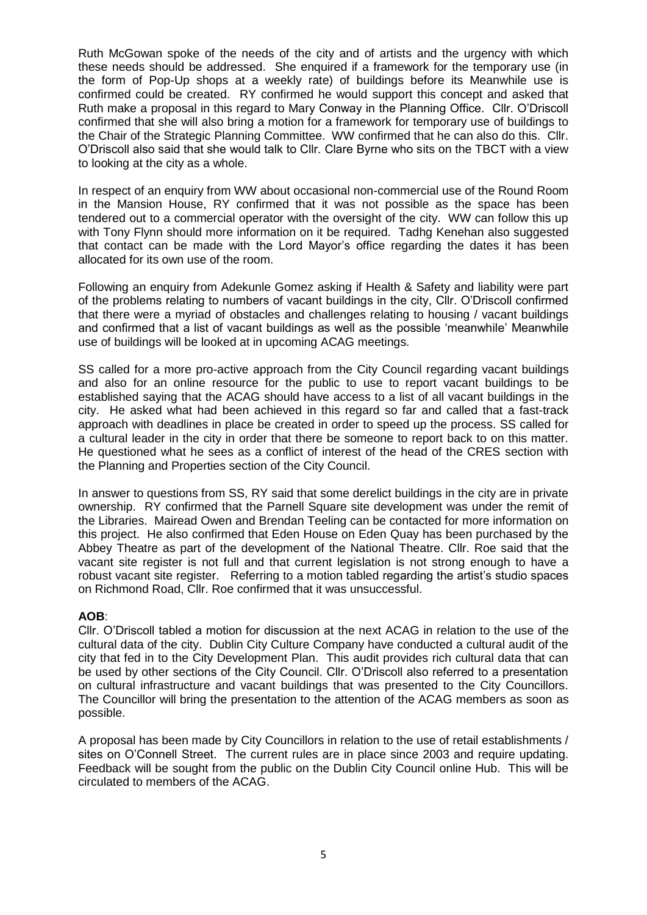Ruth McGowan spoke of the needs of the city and of artists and the urgency with which these needs should be addressed. She enquired if a framework for the temporary use (in the form of Pop-Up shops at a weekly rate) of buildings before its Meanwhile use is confirmed could be created. RY confirmed he would support this concept and asked that Ruth make a proposal in this regard to Mary Conway in the Planning Office. Cllr. O'Driscoll confirmed that she will also bring a motion for a framework for temporary use of buildings to the Chair of the Strategic Planning Committee. WW confirmed that he can also do this. Cllr. O'Driscoll also said that she would talk to Cllr. Clare Byrne who sits on the TBCT with a view to looking at the city as a whole.

In respect of an enquiry from WW about occasional non-commercial use of the Round Room in the Mansion House, RY confirmed that it was not possible as the space has been tendered out to a commercial operator with the oversight of the city. WW can follow this up with Tony Flynn should more information on it be required. Tadhg Kenehan also suggested that contact can be made with the Lord Mayor's office regarding the dates it has been allocated for its own use of the room.

Following an enquiry from Adekunle Gomez asking if Health & Safety and liability were part of the problems relating to numbers of vacant buildings in the city, Cllr. O'Driscoll confirmed that there were a myriad of obstacles and challenges relating to housing / vacant buildings and confirmed that a list of vacant buildings as well as the possible 'meanwhile' Meanwhile use of buildings will be looked at in upcoming ACAG meetings.

SS called for a more pro-active approach from the City Council regarding vacant buildings and also for an online resource for the public to use to report vacant buildings to be established saying that the ACAG should have access to a list of all vacant buildings in the city. He asked what had been achieved in this regard so far and called that a fast-track approach with deadlines in place be created in order to speed up the process. SS called for a cultural leader in the city in order that there be someone to report back to on this matter. He questioned what he sees as a conflict of interest of the head of the CRES section with the Planning and Properties section of the City Council.

In answer to questions from SS, RY said that some derelict buildings in the city are in private ownership. RY confirmed that the Parnell Square site development was under the remit of the Libraries. Mairead Owen and Brendan Teeling can be contacted for more information on this project. He also confirmed that Eden House on Eden Quay has been purchased by the Abbey Theatre as part of the development of the National Theatre. Cllr. Roe said that the vacant site register is not full and that current legislation is not strong enough to have a robust vacant site register. Referring to a motion tabled regarding the artist's studio spaces on Richmond Road, Cllr. Roe confirmed that it was unsuccessful.

#### **AOB**:

Cllr. O'Driscoll tabled a motion for discussion at the next ACAG in relation to the use of the cultural data of the city. Dublin City Culture Company have conducted a cultural audit of the city that fed in to the City Development Plan. This audit provides rich cultural data that can be used by other sections of the City Council. Cllr. O'Driscoll also referred to a presentation on cultural infrastructure and vacant buildings that was presented to the City Councillors. The Councillor will bring the presentation to the attention of the ACAG members as soon as possible.

A proposal has been made by City Councillors in relation to the use of retail establishments / sites on O'Connell Street. The current rules are in place since 2003 and require updating. Feedback will be sought from the public on the Dublin City Council online Hub. This will be circulated to members of the ACAG.